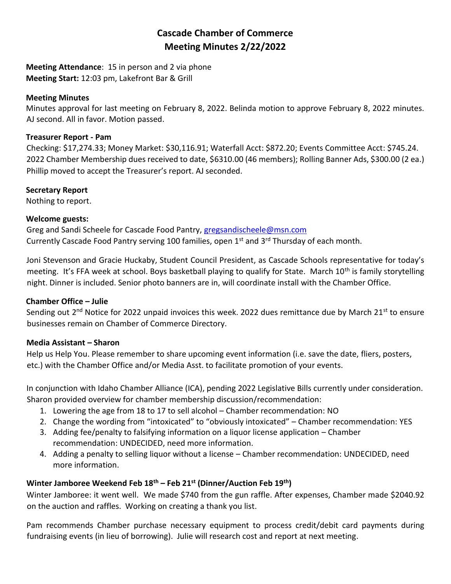# **Cascade Chamber of Commerce Meeting Minutes 2/22/2022**

**Meeting Attendance**: 15 in person and 2 via phone **Meeting Start:** 12:03 pm, Lakefront Bar & Grill

#### **Meeting Minutes**

Minutes approval for last meeting on February 8, 2022. Belinda motion to approve February 8, 2022 minutes. AJ second. All in favor. Motion passed.

#### **Treasurer Report - Pam**

Checking: \$17,274.33; Money Market: \$30,116.91; Waterfall Acct: \$872.20; Events Committee Acct: \$745.24. 2022 Chamber Membership dues received to date, \$6310.00 (46 members); Rolling Banner Ads, \$300.00 (2 ea.) Phillip moved to accept the Treasurer's report. AJ seconded.

# **Secretary Report**

Nothing to report.

#### **Welcome guests:**

Greg and Sandi Scheele for Cascade Food Pantry, [gregsandischeele@msn.com](mailto:gregsandischeele@msn.com) Currently Cascade Food Pantry serving 100 families, open  $1<sup>st</sup>$  and  $3<sup>rd</sup>$  Thursday of each month.

Joni Stevenson and Gracie Huckaby, Student Council President, as Cascade Schools representative for today's meeting. It's FFA week at school. Boys basketball playing to qualify for State. March 10<sup>th</sup> is family storytelling night. Dinner is included. Senior photo banners are in, will coordinate install with the Chamber Office.

# **Chamber Office – Julie**

Sending out 2<sup>nd</sup> Notice for 2022 unpaid invoices this week. 2022 dues remittance due by March 21<sup>st</sup> to ensure businesses remain on Chamber of Commerce Directory.

# **Media Assistant – Sharon**

Help us Help You. Please remember to share upcoming event information (i.e. save the date, fliers, posters, etc.) with the Chamber Office and/or Media Asst. to facilitate promotion of your events.

In conjunction with Idaho Chamber Alliance (ICA), pending 2022 Legislative Bills currently under consideration. Sharon provided overview for chamber membership discussion/recommendation:

- 1. Lowering the age from 18 to 17 to sell alcohol Chamber recommendation: NO
- 2. Change the wording from "intoxicated" to "obviously intoxicated" Chamber recommendation: YES
- 3. Adding fee/penalty to falsifying information on a liquor license application Chamber recommendation: UNDECIDED, need more information.
- 4. Adding a penalty to selling liquor without a license Chamber recommendation: UNDECIDED, need more information.

# **Winter Jamboree Weekend Feb 18th – Feb 21st (Dinner/Auction Feb 19th)**

Winter Jamboree: it went well. We made \$740 from the gun raffle. After expenses, Chamber made \$2040.92 on the auction and raffles. Working on creating a thank you list.

Pam recommends Chamber purchase necessary equipment to process credit/debit card payments during fundraising events (in lieu of borrowing). Julie will research cost and report at next meeting.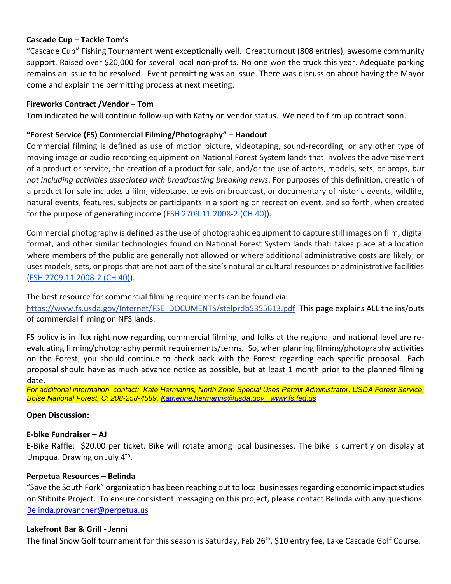#### **Cascade Cup – Tackle Tom's**

"Cascade Cup" Fishing Tournament went exceptionally well. Great turnout (808 entries), awesome community support. Raised over \$20,000 for several local non-profits. No one won the truck this year. Adequate parking remains an issue to be resolved. Event permitting was an issue. There was discussion about having the Mayor come and explain the permitting process at next meeting.

#### **Fireworks Contract /Vendor – Tom**

Tom indicated he will continue follow-up with Kathy on vendor status. We need to firm up contract soon.

#### **"Forest Service (FS) Commercial Filming/Photography" – Handout**

Commercial filming is defined as use of motion picture, videotaping, sound-recording, or any other type of moving image or audio recording equipment on National Forest System lands that involves the advertisement of a product or service, the creation of a product for sale, and/or the use of actors, models, sets, or props, *but not including activities associated with broadcasting breaking news*. For purposes of this definition, creation of a product for sale includes a film, videotape, television broadcast, or documentary of historic events, wildlife, natural events, features, subjects or participants in a sporting or recreation event, and so forth, when created for the purpose of generating income [\(FSH 2709.11 2008-2](https://na01.safelinks.protection.outlook.com/?url=http%3A%2F%2Fwww.fs.fed.us%2Fspecialuses%2Fdocuments%2F2709.11_40.pdf&data=04%7C01%7C%7Ccf46ccc393b64bd537f008d9f004b065%7C84df9e7fe9f640afb435aaaaaaaaaaaa%7C1%7C0%7C637804725198030460%7CUnknown%7CTWFpbGZsb3d8eyJWIjoiMC4wLjAwMDAiLCJQIjoiV2luMzIiLCJBTiI6Ik1haWwiLCJXVCI6Mn0%3D%7C3000&sdata=pRB8FMP2SeI1To5u7wir402U%2FDpxnxr2NtEltDKab4Q%3D&reserved=0) (CH 40)).

Commercial photography is defined as the use of photographic equipment to capture still images on film, digital format, and other similar technologies found on National Forest System lands that: takes place at a location where members of the public are generally not allowed or where additional administrative costs are likely; or uses models, sets, or props that are not part of the site's natural or cultural resources or administrative facilities [\(FSH 2709.11 2008-2 \(CH 40\)\)](https://na01.safelinks.protection.outlook.com/?url=http%3A%2F%2Fwww.fs.fed.us%2Fspecialuses%2Fdocuments%2F2709.11_40.pdf&data=04%7C01%7C%7Ccf46ccc393b64bd537f008d9f004b065%7C84df9e7fe9f640afb435aaaaaaaaaaaa%7C1%7C0%7C637804725198030460%7CUnknown%7CTWFpbGZsb3d8eyJWIjoiMC4wLjAwMDAiLCJQIjoiV2luMzIiLCJBTiI6Ik1haWwiLCJXVCI6Mn0%3D%7C3000&sdata=pRB8FMP2SeI1To5u7wir402U%2FDpxnxr2NtEltDKab4Q%3D&reserved=0).

The best resource for commercial filming requirements can be found via:

[https://www.fs.usda.gov/Internet/FSE\\_DOCUMENTS/stelprdb5355613.pdf](https://na01.safelinks.protection.outlook.com/?url=https%3A%2F%2Fwww.fs.usda.gov%2FInternet%2FFSE_DOCUMENTS%2Fstelprdb5355613.pdf&data=04%7C01%7C%7Ccf46ccc393b64bd537f008d9f004b065%7C84df9e7fe9f640afb435aaaaaaaaaaaa%7C1%7C0%7C637804725198030460%7CUnknown%7CTWFpbGZsb3d8eyJWIjoiMC4wLjAwMDAiLCJQIjoiV2luMzIiLCJBTiI6Ik1haWwiLCJXVCI6Mn0%3D%7C3000&sdata=7Y4ueb7PK%2BB6rz3ArLh7qkotIF1xhw3CiHYkEjRxmwQ%3D&reserved=0) This page explains ALL the ins/outs of commercial filming on NFS lands.

FS policy is in flux right now regarding commercial filming, and folks at the regional and national level are reevaluating filming/photography permit requirements/terms. So, when planning filming/photography activities on the Forest, you should continue to check back with the Forest regarding each specific proposal. Each proposal should have as much advance notice as possible, but at least 1 month prior to the planned filming date.

*For additional information, contact: Kate Hermanns, North Zone Special Uses Permit Administrator, USDA Forest Service, Boise National Forest, C: 208-258-4589, [Katherine.hermanns@usda.gov](mailto:Katherine.hermanns@usda.gov) , [www.fs.fed.us](http://www.fs.fed.us/)*

#### **Open Discussion:**

#### **E-bike Fundraiser – AJ**

E-Bike Raffle: \$20.00 per ticket. Bike will rotate among local businesses. The bike is currently on display at Umpqua. Drawing on July 4<sup>th</sup>.

#### **Perpetua Resources – Belinda**

"Save the South Fork" organization has been reaching out to local businesses regarding economic impact studies on Stibnite Project. To ensure consistent messaging on this project, please contact Belinda with any questions. [Belinda.provancher@perpetua.us](mailto:Belinda.provancher@perpetua.us)

#### **Lakefront Bar & Grill - Jenni**

The final Snow Golf tournament for this season is Saturday, Feb 26<sup>th</sup>, \$10 entry fee, Lake Cascade Golf Course.